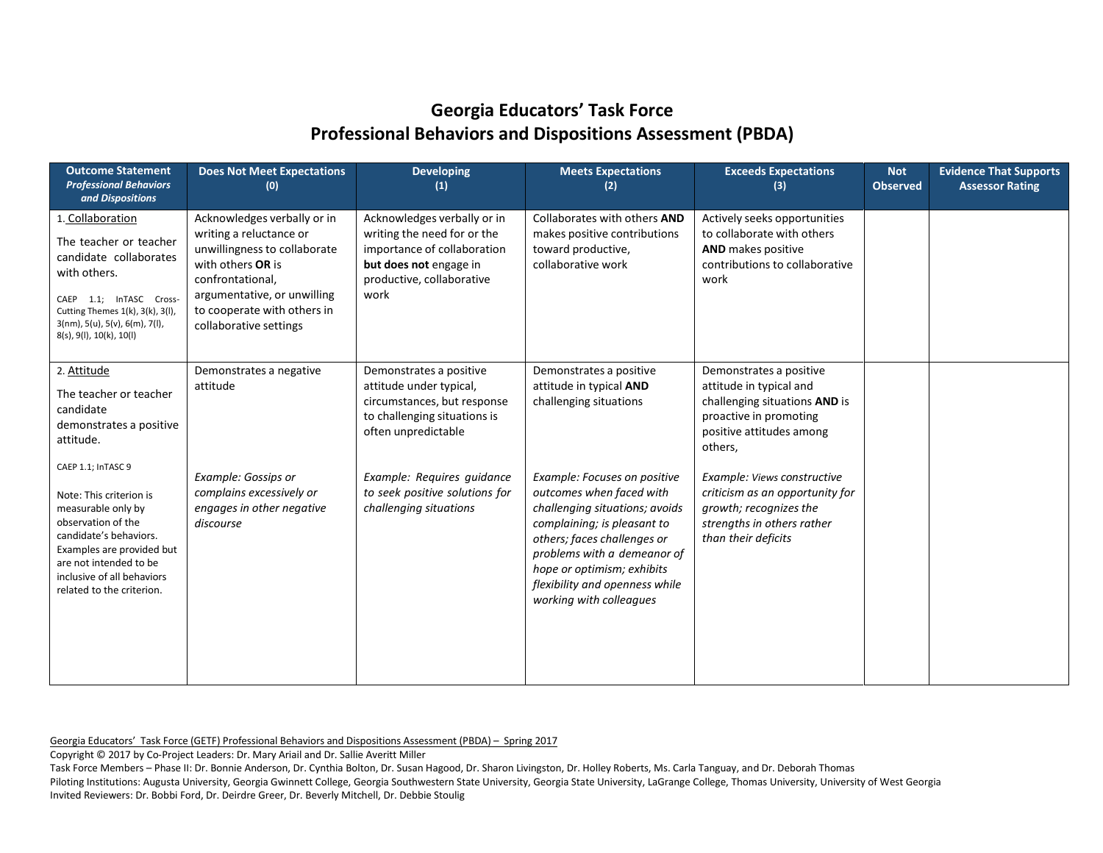| <b>Outcome Statement</b><br><b>Professional Behaviors</b><br>and Dispositions                                                                                                                                                    | <b>Does Not Meet Expectations</b><br>(0)                                                                                                                                                                                | <b>Developing</b><br>$\left( 1\right)$                                                                                                                   | <b>Meets Expectations</b><br>(2)                                                                                                                                                                                                                                                   | <b>Exceeds Expectations</b><br>(3)                                                                                                                   | <b>Not</b><br><b>Observed</b> | <b>Evidence That Supports</b><br><b>Assessor Rating</b> |
|----------------------------------------------------------------------------------------------------------------------------------------------------------------------------------------------------------------------------------|-------------------------------------------------------------------------------------------------------------------------------------------------------------------------------------------------------------------------|----------------------------------------------------------------------------------------------------------------------------------------------------------|------------------------------------------------------------------------------------------------------------------------------------------------------------------------------------------------------------------------------------------------------------------------------------|------------------------------------------------------------------------------------------------------------------------------------------------------|-------------------------------|---------------------------------------------------------|
| 1. Collaboration<br>The teacher or teacher<br>candidate collaborates<br>with others.<br>CAEP 1.1; InTASC Cross-<br>Cutting Themes 1(k), 3(k), 3(l),<br>$3(nm)$ , $5(u)$ , $5(v)$ , $6(m)$ , $7(l)$ ,<br>8(s), 9(l), 10(k), 10(l) | Acknowledges verbally or in<br>writing a reluctance or<br>unwillingness to collaborate<br>with others OR is<br>confrontational,<br>argumentative, or unwilling<br>to cooperate with others in<br>collaborative settings | Acknowledges verbally or in<br>writing the need for or the<br>importance of collaboration<br>but does not engage in<br>productive, collaborative<br>work | Collaborates with others AND<br>makes positive contributions<br>toward productive,<br>collaborative work                                                                                                                                                                           | Actively seeks opportunities<br>to collaborate with others<br>AND makes positive<br>contributions to collaborative<br>work                           |                               |                                                         |
| 2. Attitude<br>The teacher or teacher<br>candidate<br>demonstrates a positive<br>attitude.<br>CAEP 1.1; InTASC 9                                                                                                                 | Demonstrates a negative<br>attitude                                                                                                                                                                                     | Demonstrates a positive<br>attitude under typical,<br>circumstances, but response<br>to challenging situations is<br>often unpredictable                 | Demonstrates a positive<br>attitude in typical AND<br>challenging situations                                                                                                                                                                                                       | Demonstrates a positive<br>attitude in typical and<br>challenging situations AND is<br>proactive in promoting<br>positive attitudes among<br>others, |                               |                                                         |
| Note: This criterion is<br>measurable only by<br>observation of the<br>candidate's behaviors.<br>Examples are provided but<br>are not intended to be<br>inclusive of all behaviors<br>related to the criterion.                  | Example: Gossips or<br>complains excessively or<br>engages in other negative<br>discourse                                                                                                                               | Example: Requires quidance<br>to seek positive solutions for<br>challenging situations                                                                   | Example: Focuses on positive<br>outcomes when faced with<br>challenging situations; avoids<br>complaining; is pleasant to<br>others; faces challenges or<br>problems with a demeanor of<br>hope or optimism; exhibits<br>flexibility and openness while<br>working with colleagues | Example: Views constructive<br>criticism as an opportunity for<br>growth; recognizes the<br>strengths in others rather<br>than their deficits        |                               |                                                         |

Georgia Educators' Task Force (GETF) Professional Behaviors and Dispositions Assessment (PBDA) – Spring 2017

Copyright © 2017 by Co-Project Leaders: Dr. Mary Ariail and Dr. Sallie Averitt Miller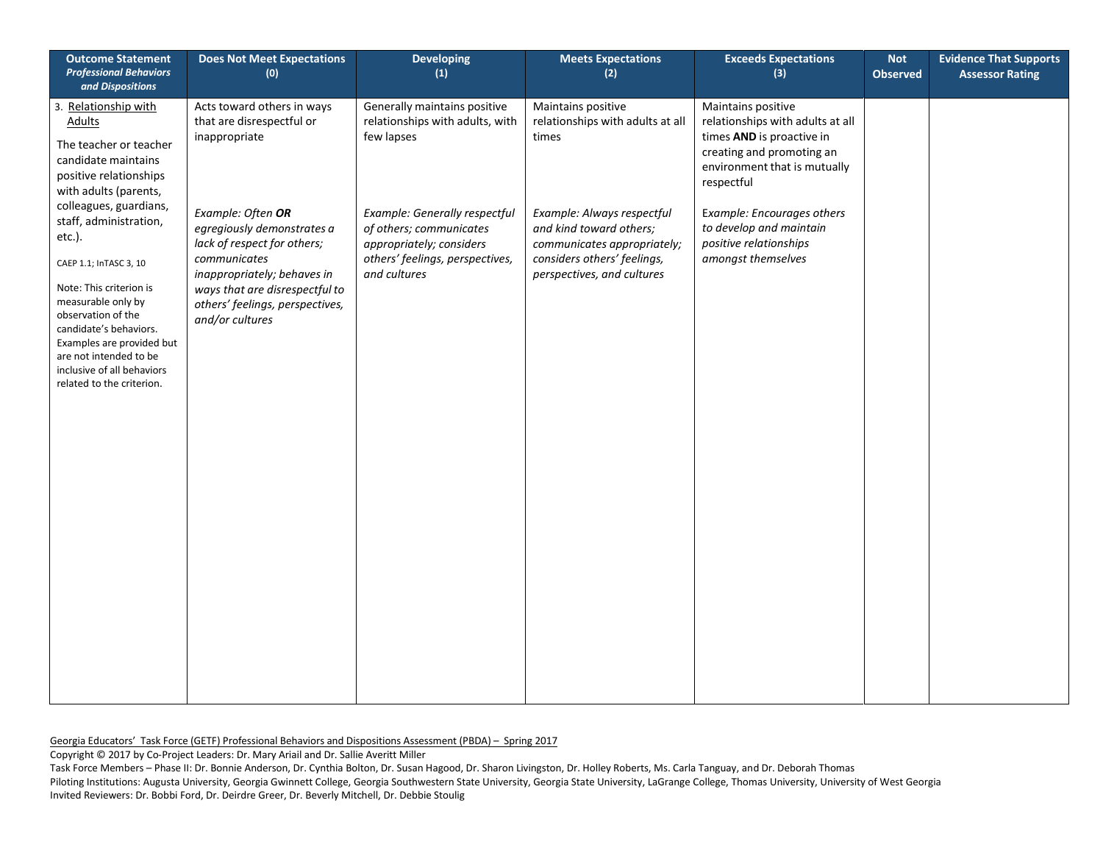| <b>Outcome Statement</b><br><b>Professional Behaviors</b><br>and Dispositions                                                                                                                                                                                                 | <b>Does Not Meet Expectations</b><br>(0)                                                                                                                                                                              | <b>Developing</b><br>(1)                                                                                                                | <b>Meets Expectations</b><br>(2)                                                                                                                  | <b>Exceeds Expectations</b><br>(3)                                                                                                                             | <b>Not</b><br><b>Observed</b> | <b>Evidence That Supports</b><br><b>Assessor Rating</b> |
|-------------------------------------------------------------------------------------------------------------------------------------------------------------------------------------------------------------------------------------------------------------------------------|-----------------------------------------------------------------------------------------------------------------------------------------------------------------------------------------------------------------------|-----------------------------------------------------------------------------------------------------------------------------------------|---------------------------------------------------------------------------------------------------------------------------------------------------|----------------------------------------------------------------------------------------------------------------------------------------------------------------|-------------------------------|---------------------------------------------------------|
| 3. Relationship with<br><b>Adults</b><br>The teacher or teacher<br>candidate maintains<br>positive relationships<br>with adults (parents,<br>colleagues, guardians,                                                                                                           | Acts toward others in ways<br>that are disrespectful or<br>inappropriate                                                                                                                                              | Generally maintains positive<br>relationships with adults, with<br>few lapses                                                           | Maintains positive<br>relationships with adults at all<br>times                                                                                   | Maintains positive<br>relationships with adults at all<br>times AND is proactive in<br>creating and promoting an<br>environment that is mutually<br>respectful |                               |                                                         |
| staff, administration,<br>etc.).<br>CAEP 1.1; InTASC 3, 10<br>Note: This criterion is<br>measurable only by<br>observation of the<br>candidate's behaviors.<br>Examples are provided but<br>are not intended to be<br>inclusive of all behaviors<br>related to the criterion. | Example: Often OR<br>egregiously demonstrates a<br>lack of respect for others;<br>communicates<br>inappropriately; behaves in<br>ways that are disrespectful to<br>others' feelings, perspectives,<br>and/or cultures | Example: Generally respectful<br>of others; communicates<br>appropriately; considers<br>others' feelings, perspectives,<br>and cultures | Example: Always respectful<br>and kind toward others;<br>communicates appropriately;<br>considers others' feelings,<br>perspectives, and cultures | Example: Encourages others<br>to develop and maintain<br>positive relationships<br>amongst themselves                                                          |                               |                                                         |

Copyright © 2017 by Co-Project Leaders: Dr. Mary Ariail and Dr. Sallie Averitt Miller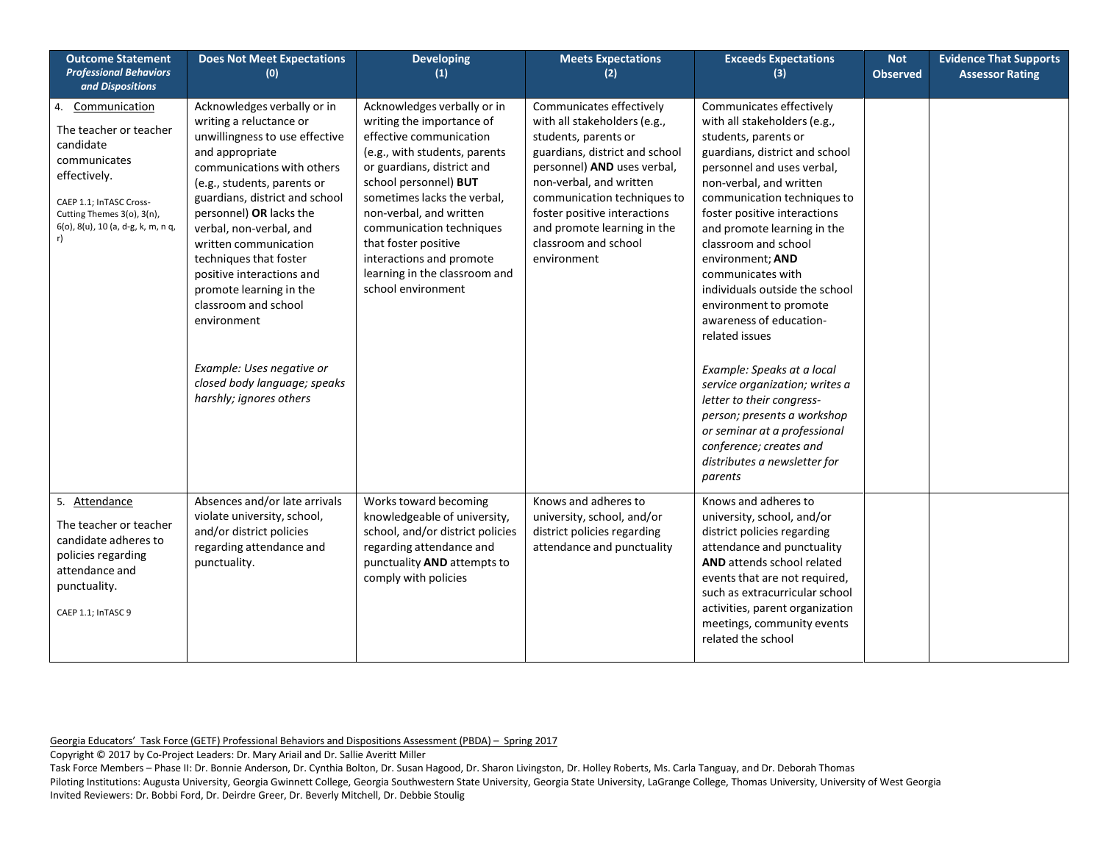| <b>Outcome Statement</b><br><b>Professional Behaviors</b><br>and Dispositions                                                                                                             | <b>Does Not Meet Expectations</b><br>(0)                                                                                                                                                                                                                                                                                                                                                                                                                                                                   | <b>Developing</b><br>(1)                                                                                                                                                                                                                                                                                                                                                     | <b>Meets Expectations</b><br>(2)                                                                                                                                                                                                                                                                                  | <b>Exceeds Expectations</b><br>(3)                                                                                                                                                                                                                                                                                                                                                                                                                                                                                                                                              | <b>Not</b><br><b>Observed</b> | <b>Evidence That Supports</b><br><b>Assessor Rating</b> |
|-------------------------------------------------------------------------------------------------------------------------------------------------------------------------------------------|------------------------------------------------------------------------------------------------------------------------------------------------------------------------------------------------------------------------------------------------------------------------------------------------------------------------------------------------------------------------------------------------------------------------------------------------------------------------------------------------------------|------------------------------------------------------------------------------------------------------------------------------------------------------------------------------------------------------------------------------------------------------------------------------------------------------------------------------------------------------------------------------|-------------------------------------------------------------------------------------------------------------------------------------------------------------------------------------------------------------------------------------------------------------------------------------------------------------------|---------------------------------------------------------------------------------------------------------------------------------------------------------------------------------------------------------------------------------------------------------------------------------------------------------------------------------------------------------------------------------------------------------------------------------------------------------------------------------------------------------------------------------------------------------------------------------|-------------------------------|---------------------------------------------------------|
| Communication<br>4.<br>The teacher or teacher<br>candidate<br>communicates<br>effectively.<br>CAEP 1.1; InTASC Cross-<br>Cutting Themes 3(o), 3(n),<br>6(o), 8(u), 10 (a, d-g, k, m, n q, | Acknowledges verbally or in<br>writing a reluctance or<br>unwillingness to use effective<br>and appropriate<br>communications with others<br>(e.g., students, parents or<br>guardians, district and school<br>personnel) OR lacks the<br>verbal, non-verbal, and<br>written communication<br>techniques that foster<br>positive interactions and<br>promote learning in the<br>classroom and school<br>environment<br>Example: Uses negative or<br>closed body language; speaks<br>harshly; ignores others | Acknowledges verbally or in<br>writing the importance of<br>effective communication<br>(e.g., with students, parents<br>or guardians, district and<br>school personnel) BUT<br>sometimes lacks the verbal,<br>non-verbal, and written<br>communication techniques<br>that foster positive<br>interactions and promote<br>learning in the classroom and<br>school environment | Communicates effectively<br>with all stakeholders (e.g.,<br>students, parents or<br>guardians, district and school<br>personnel) AND uses verbal,<br>non-verbal, and written<br>communication techniques to<br>foster positive interactions<br>and promote learning in the<br>classroom and school<br>environment | Communicates effectively<br>with all stakeholders (e.g.,<br>students, parents or<br>guardians, district and school<br>personnel and uses verbal,<br>non-verbal, and written<br>communication techniques to<br>foster positive interactions<br>and promote learning in the<br>classroom and school<br>environment; AND<br>communicates with<br>individuals outside the school<br>environment to promote<br>awareness of education-<br>related issues<br>Example: Speaks at a local<br>service organization; writes a<br>letter to their congress-<br>person; presents a workshop |                               |                                                         |
|                                                                                                                                                                                           |                                                                                                                                                                                                                                                                                                                                                                                                                                                                                                            |                                                                                                                                                                                                                                                                                                                                                                              |                                                                                                                                                                                                                                                                                                                   | or seminar at a professional<br>conference; creates and<br>distributes a newsletter for<br>parents                                                                                                                                                                                                                                                                                                                                                                                                                                                                              |                               |                                                         |
| 5. Attendance<br>The teacher or teacher<br>candidate adheres to<br>policies regarding<br>attendance and<br>punctuality.<br>CAEP 1.1; InTASC 9                                             | Absences and/or late arrivals<br>violate university, school,<br>and/or district policies<br>regarding attendance and<br>punctuality.                                                                                                                                                                                                                                                                                                                                                                       | Works toward becoming<br>knowledgeable of university,<br>school, and/or district policies<br>regarding attendance and<br>punctuality AND attempts to<br>comply with policies                                                                                                                                                                                                 | Knows and adheres to<br>university, school, and/or<br>district policies regarding<br>attendance and punctuality                                                                                                                                                                                                   | Knows and adheres to<br>university, school, and/or<br>district policies regarding<br>attendance and punctuality<br>AND attends school related<br>events that are not required,<br>such as extracurricular school<br>activities, parent organization<br>meetings, community events<br>related the school                                                                                                                                                                                                                                                                         |                               |                                                         |

Copyright © 2017 by Co-Project Leaders: Dr. Mary Ariail and Dr. Sallie Averitt Miller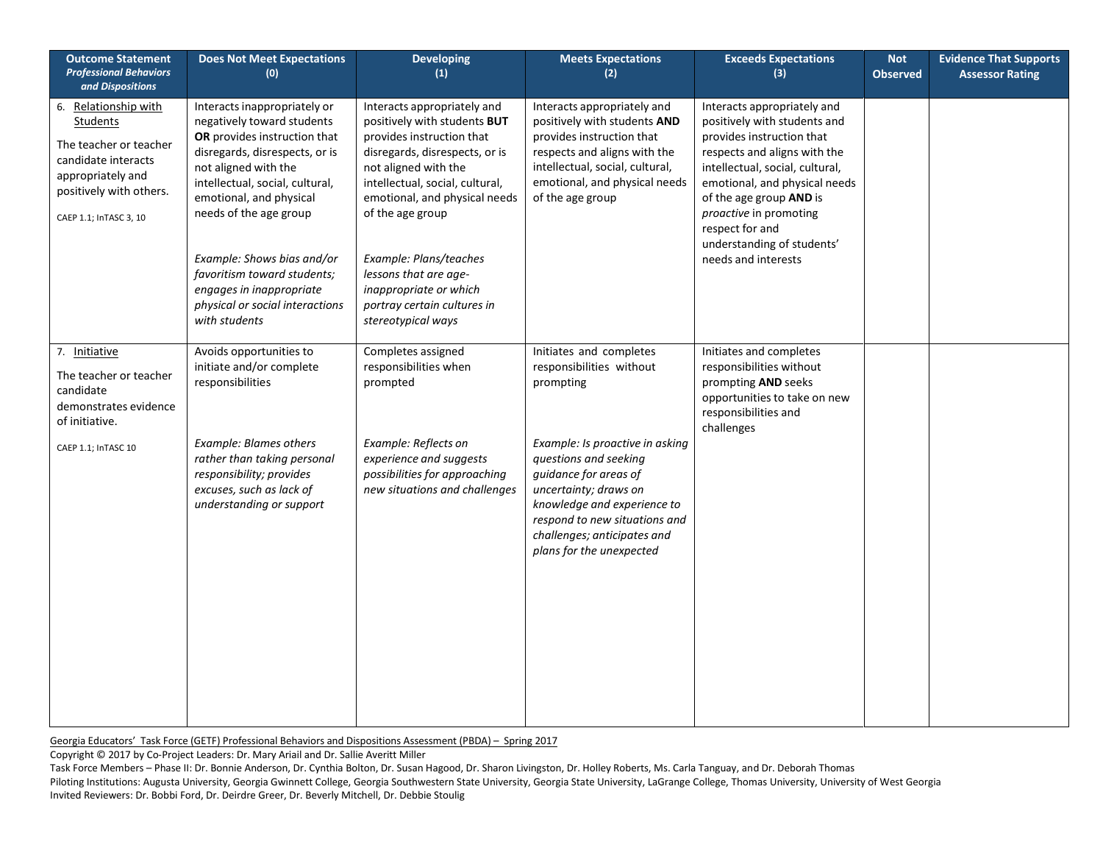| <b>Outcome Statement</b><br><b>Professional Behaviors</b><br>and Dispositions                                                                                      | <b>Does Not Meet Expectations</b><br>(0)                                                                                                                                                                                                                                                                                                                                                  | <b>Developing</b><br>(1)                                                                                                                                                                                                                                                                                                                                                     | <b>Meets Expectations</b><br>(2)                                                                                                                                                                                                                                                                          | <b>Exceeds Expectations</b><br>(3)                                                                                                                                                                                                                                                                                        | <b>Not</b><br><b>Observed</b> | <b>Evidence That Supports</b><br><b>Assessor Rating</b> |
|--------------------------------------------------------------------------------------------------------------------------------------------------------------------|-------------------------------------------------------------------------------------------------------------------------------------------------------------------------------------------------------------------------------------------------------------------------------------------------------------------------------------------------------------------------------------------|------------------------------------------------------------------------------------------------------------------------------------------------------------------------------------------------------------------------------------------------------------------------------------------------------------------------------------------------------------------------------|-----------------------------------------------------------------------------------------------------------------------------------------------------------------------------------------------------------------------------------------------------------------------------------------------------------|---------------------------------------------------------------------------------------------------------------------------------------------------------------------------------------------------------------------------------------------------------------------------------------------------------------------------|-------------------------------|---------------------------------------------------------|
| 6. Relationship with<br><b>Students</b><br>The teacher or teacher<br>candidate interacts<br>appropriately and<br>positively with others.<br>CAEP 1.1; InTASC 3, 10 | Interacts inappropriately or<br>negatively toward students<br>OR provides instruction that<br>disregards, disrespects, or is<br>not aligned with the<br>intellectual, social, cultural,<br>emotional, and physical<br>needs of the age group<br>Example: Shows bias and/or<br>favoritism toward students;<br>engages in inappropriate<br>physical or social interactions<br>with students | Interacts appropriately and<br>positively with students BUT<br>provides instruction that<br>disregards, disrespects, or is<br>not aligned with the<br>intellectual, social, cultural,<br>emotional, and physical needs<br>of the age group<br>Example: Plans/teaches<br>lessons that are age-<br>inappropriate or which<br>portray certain cultures in<br>stereotypical ways | Interacts appropriately and<br>positively with students AND<br>provides instruction that<br>respects and aligns with the<br>intellectual, social, cultural,<br>emotional, and physical needs<br>of the age group                                                                                          | Interacts appropriately and<br>positively with students and<br>provides instruction that<br>respects and aligns with the<br>intellectual, social, cultural,<br>emotional, and physical needs<br>of the age group AND is<br>proactive in promoting<br>respect for and<br>understanding of students'<br>needs and interests |                               |                                                         |
| 7. Initiative<br>The teacher or teacher<br>candidate<br>demonstrates evidence<br>of initiative.<br>CAEP 1.1; InTASC 10                                             | Avoids opportunities to<br>initiate and/or complete<br>responsibilities<br><b>Example: Blames others</b><br>rather than taking personal<br>responsibility; provides<br>excuses, such as lack of<br>understanding or support                                                                                                                                                               | Completes assigned<br>responsibilities when<br>prompted<br>Example: Reflects on<br>experience and suggests<br>possibilities for approaching<br>new situations and challenges                                                                                                                                                                                                 | Initiates and completes<br>responsibilities without<br>prompting<br>Example: Is proactive in asking<br>questions and seeking<br>guidance for areas of<br>uncertainty; draws on<br>knowledge and experience to<br>respond to new situations and<br>challenges; anticipates and<br>plans for the unexpected | Initiates and completes<br>responsibilities without<br>prompting AND seeks<br>opportunities to take on new<br>responsibilities and<br>challenges                                                                                                                                                                          |                               |                                                         |

Copyright © 2017 by Co-Project Leaders: Dr. Mary Ariail and Dr. Sallie Averitt Miller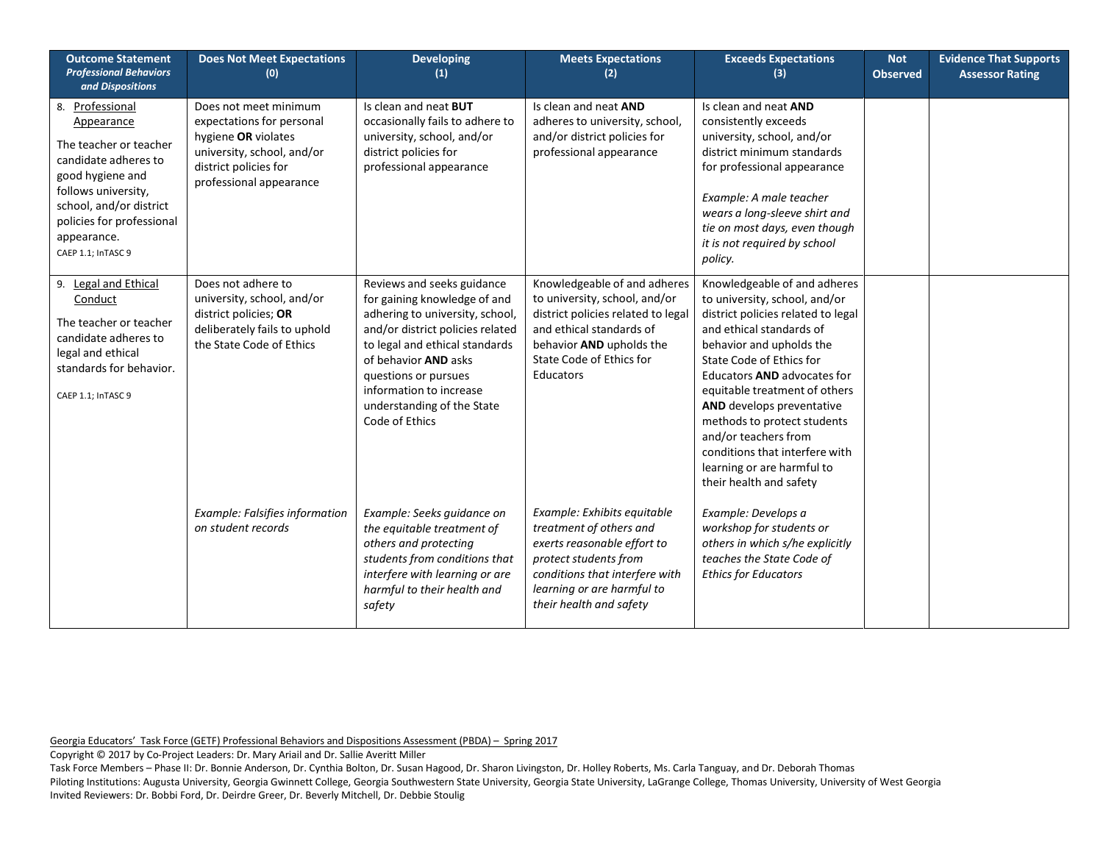| <b>Outcome Statement</b><br><b>Professional Behaviors</b><br>and Dispositions                                                                                                                                           | <b>Does Not Meet Expectations</b><br>(0)                                                                                                                    | <b>Developing</b><br>$\left( 1\right)$                                                                                                                                                                                                                                                         | <b>Meets Expectations</b><br>(2)                                                                                                                                                                          | <b>Exceeds Expectations</b><br>(3)                                                                                                                                                                                                                                                                                                                                                                                                     | <b>Not</b><br><b>Observed</b> | <b>Evidence That Supports</b><br><b>Assessor Rating</b> |
|-------------------------------------------------------------------------------------------------------------------------------------------------------------------------------------------------------------------------|-------------------------------------------------------------------------------------------------------------------------------------------------------------|------------------------------------------------------------------------------------------------------------------------------------------------------------------------------------------------------------------------------------------------------------------------------------------------|-----------------------------------------------------------------------------------------------------------------------------------------------------------------------------------------------------------|----------------------------------------------------------------------------------------------------------------------------------------------------------------------------------------------------------------------------------------------------------------------------------------------------------------------------------------------------------------------------------------------------------------------------------------|-------------------------------|---------------------------------------------------------|
| 8. Professional<br>Appearance<br>The teacher or teacher<br>candidate adheres to<br>good hygiene and<br>follows university,<br>school, and/or district<br>policies for professional<br>appearance.<br>CAEP 1.1; InTASC 9 | Does not meet minimum<br>expectations for personal<br>hygiene OR violates<br>university, school, and/or<br>district policies for<br>professional appearance | Is clean and neat BUT<br>occasionally fails to adhere to<br>university, school, and/or<br>district policies for<br>professional appearance                                                                                                                                                     | Is clean and neat AND<br>adheres to university, school,<br>and/or district policies for<br>professional appearance                                                                                        | Is clean and neat AND<br>consistently exceeds<br>university, school, and/or<br>district minimum standards<br>for professional appearance<br>Example: A male teacher<br>wears a long-sleeve shirt and<br>tie on most days, even though<br>it is not required by school<br>policy.                                                                                                                                                       |                               |                                                         |
| 9. Legal and Ethical<br>Conduct<br>The teacher or teacher<br>candidate adheres to<br>legal and ethical<br>standards for behavior.<br>CAEP 1.1; InTASC 9                                                                 | Does not adhere to<br>university, school, and/or<br>district policies; OR<br>deliberately fails to uphold<br>the State Code of Ethics                       | Reviews and seeks guidance<br>for gaining knowledge of and<br>adhering to university, school,<br>and/or district policies related<br>to legal and ethical standards<br>of behavior AND asks<br>questions or pursues<br>information to increase<br>understanding of the State<br>Code of Ethics | Knowledgeable of and adheres<br>to university, school, and/or<br>district policies related to legal<br>and ethical standards of<br>behavior AND upholds the<br>State Code of Ethics for<br>Educators      | Knowledgeable of and adheres<br>to university, school, and/or<br>district policies related to legal<br>and ethical standards of<br>behavior and upholds the<br>State Code of Ethics for<br>Educators AND advocates for<br>equitable treatment of others<br>AND develops preventative<br>methods to protect students<br>and/or teachers from<br>conditions that interfere with<br>learning or are harmful to<br>their health and safety |                               |                                                         |
|                                                                                                                                                                                                                         | Example: Falsifies information<br>on student records                                                                                                        | Example: Seeks guidance on<br>the equitable treatment of<br>others and protecting<br>students from conditions that<br>interfere with learning or are<br>harmful to their health and<br>safety                                                                                                  | Example: Exhibits equitable<br>treatment of others and<br>exerts reasonable effort to<br>protect students from<br>conditions that interfere with<br>learning or are harmful to<br>their health and safety | Example: Develops a<br>workshop for students or<br>others in which s/he explicitly<br>teaches the State Code of<br><b>Ethics for Educators</b>                                                                                                                                                                                                                                                                                         |                               |                                                         |

Copyright © 2017 by Co-Project Leaders: Dr. Mary Ariail and Dr. Sallie Averitt Miller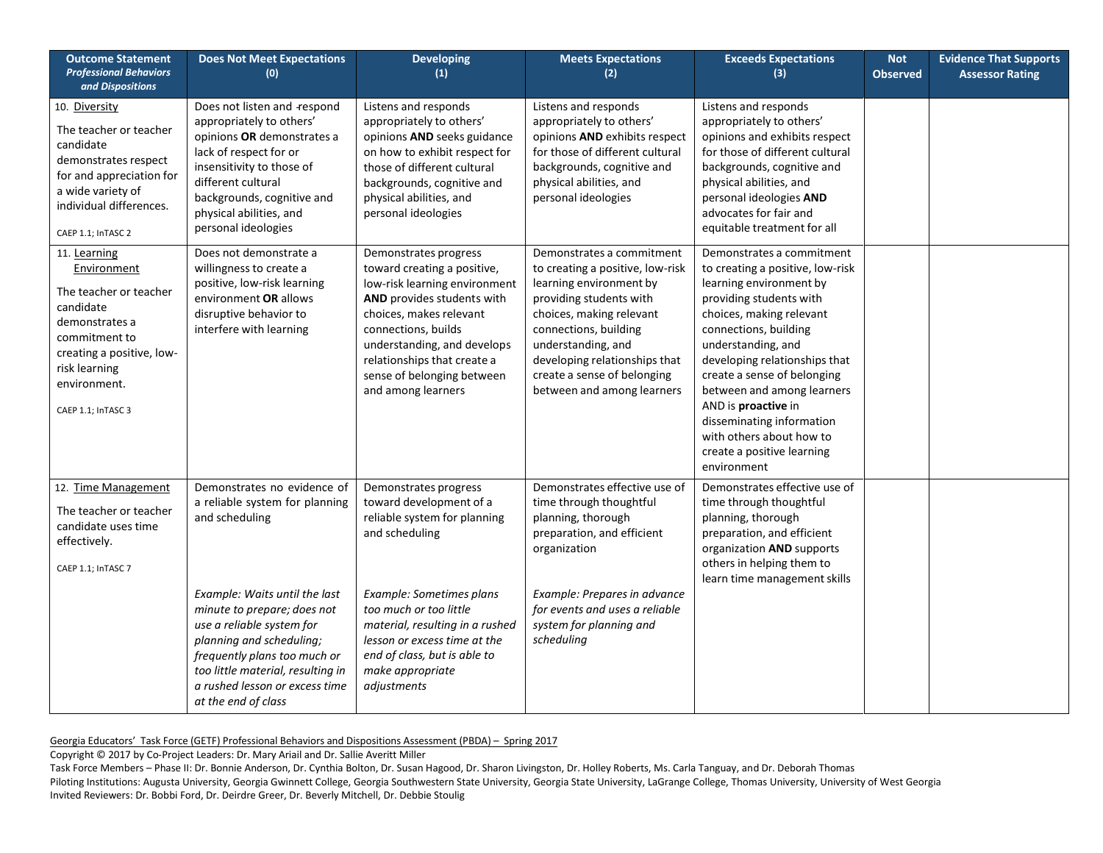| <b>Outcome Statement</b><br><b>Professional Behaviors</b><br>and Dispositions                                                                                                             | <b>Does Not Meet Expectations</b><br>(0)                                                                                                                                                                                                                                                                                               | <b>Developing</b><br>(1)                                                                                                                                                                                                                                                                       | <b>Meets Expectations</b><br>(2)                                                                                                                                                                                                                                                             | <b>Exceeds Expectations</b><br>(3)                                                                                                                                                                                                                                                                                                                                                                                        | <b>Not</b><br><b>Observed</b> | <b>Evidence That Supports</b><br><b>Assessor Rating</b> |
|-------------------------------------------------------------------------------------------------------------------------------------------------------------------------------------------|----------------------------------------------------------------------------------------------------------------------------------------------------------------------------------------------------------------------------------------------------------------------------------------------------------------------------------------|------------------------------------------------------------------------------------------------------------------------------------------------------------------------------------------------------------------------------------------------------------------------------------------------|----------------------------------------------------------------------------------------------------------------------------------------------------------------------------------------------------------------------------------------------------------------------------------------------|---------------------------------------------------------------------------------------------------------------------------------------------------------------------------------------------------------------------------------------------------------------------------------------------------------------------------------------------------------------------------------------------------------------------------|-------------------------------|---------------------------------------------------------|
| 10. Diversity<br>The teacher or teacher<br>candidate<br>demonstrates respect<br>for and appreciation for<br>a wide variety of<br>individual differences.<br>CAEP 1.1; InTASC 2            | Does not listen and respond<br>appropriately to others'<br>opinions OR demonstrates a<br>lack of respect for or<br>insensitivity to those of<br>different cultural<br>backgrounds, cognitive and<br>physical abilities, and<br>personal ideologies                                                                                     | Listens and responds<br>appropriately to others'<br>opinions AND seeks guidance<br>on how to exhibit respect for<br>those of different cultural<br>backgrounds, cognitive and<br>physical abilities, and<br>personal ideologies                                                                | Listens and responds<br>appropriately to others'<br>opinions AND exhibits respect<br>for those of different cultural<br>backgrounds, cognitive and<br>physical abilities, and<br>personal ideologies                                                                                         | Listens and responds<br>appropriately to others'<br>opinions and exhibits respect<br>for those of different cultural<br>backgrounds, cognitive and<br>physical abilities, and<br>personal ideologies AND<br>advocates for fair and<br>equitable treatment for all                                                                                                                                                         |                               |                                                         |
| 11. Learning<br>Environment<br>The teacher or teacher<br>candidate<br>demonstrates a<br>commitment to<br>creating a positive, low-<br>risk learning<br>environment.<br>CAEP 1.1; InTASC 3 | Does not demonstrate a<br>willingness to create a<br>positive, low-risk learning<br>environment OR allows<br>disruptive behavior to<br>interfere with learning                                                                                                                                                                         | Demonstrates progress<br>toward creating a positive,<br>low-risk learning environment<br>AND provides students with<br>choices, makes relevant<br>connections, builds<br>understanding, and develops<br>relationships that create a<br>sense of belonging between<br>and among learners        | Demonstrates a commitment<br>to creating a positive, low-risk<br>learning environment by<br>providing students with<br>choices, making relevant<br>connections, building<br>understanding, and<br>developing relationships that<br>create a sense of belonging<br>between and among learners | Demonstrates a commitment<br>to creating a positive, low-risk<br>learning environment by<br>providing students with<br>choices, making relevant<br>connections, building<br>understanding, and<br>developing relationships that<br>create a sense of belonging<br>between and among learners<br>AND is proactive in<br>disseminating information<br>with others about how to<br>create a positive learning<br>environment |                               |                                                         |
| 12. Time Management<br>The teacher or teacher<br>candidate uses time<br>effectively.<br>CAEP 1.1; InTASC 7                                                                                | Demonstrates no evidence of<br>a reliable system for planning<br>and scheduling<br>Example: Waits until the last<br>minute to prepare; does not<br>use a reliable system for<br>planning and scheduling;<br>frequently plans too much or<br>too little material, resulting in<br>a rushed lesson or excess time<br>at the end of class | Demonstrates progress<br>toward development of a<br>reliable system for planning<br>and scheduling<br>Example: Sometimes plans<br>too much or too little<br>material, resulting in a rushed<br>lesson or excess time at the<br>end of class, but is able to<br>make appropriate<br>adjustments | Demonstrates effective use of<br>time through thoughtful<br>planning, thorough<br>preparation, and efficient<br>organization<br>Example: Prepares in advance<br>for events and uses a reliable<br>system for planning and<br>scheduling                                                      | Demonstrates effective use of<br>time through thoughtful<br>planning, thorough<br>preparation, and efficient<br>organization AND supports<br>others in helping them to<br>learn time management skills                                                                                                                                                                                                                    |                               |                                                         |

Copyright © 2017 by Co-Project Leaders: Dr. Mary Ariail and Dr. Sallie Averitt Miller